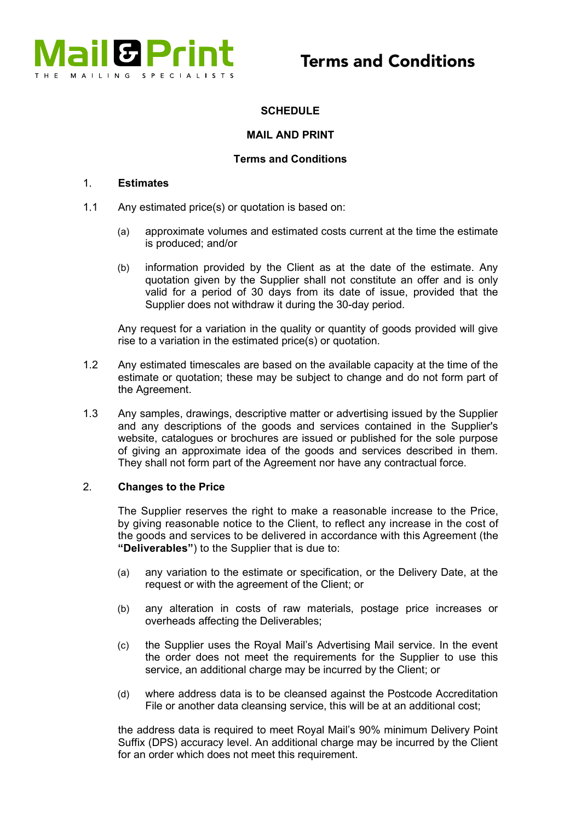

# **SCHEDULE**

## MAIL AND PRINT

## Terms and Conditions

#### 1. Estimates

- 1.1 Any estimated price(s) or quotation is based on:
	- (a) approximate volumes and estimated costs current at the time the estimate is produced; and/or
	- (b) information provided by the Client as at the date of the estimate. Any quotation given by the Supplier shall not constitute an offer and is only valid for a period of 30 days from its date of issue, provided that the Supplier does not withdraw it during the 30-day period.

Any request for a variation in the quality or quantity of goods provided will give rise to a variation in the estimated price(s) or quotation.

- 1.2 Any estimated timescales are based on the available capacity at the time of the estimate or quotation; these may be subject to change and do not form part of the Agreement.
- 1.3 Any samples, drawings, descriptive matter or advertising issued by the Supplier and any descriptions of the goods and services contained in the Supplier's website, catalogues or brochures are issued or published for the sole purpose of giving an approximate idea of the goods and services described in them. They shall not form part of the Agreement nor have any contractual force.

#### 2. Changes to the Price

The Supplier reserves the right to make a reasonable increase to the Price, by giving reasonable notice to the Client, to reflect any increase in the cost of the goods and services to be delivered in accordance with this Agreement (the "Deliverables") to the Supplier that is due to:

- (a) any variation to the estimate or specification, or the Delivery Date, at the request or with the agreement of the Client; or
- (b) any alteration in costs of raw materials, postage price increases or overheads affecting the Deliverables;
- (c) the Supplier uses the Royal Mail's Advertising Mail service. In the event the order does not meet the requirements for the Supplier to use this service, an additional charge may be incurred by the Client; or
- (d) where address data is to be cleansed against the Postcode Accreditation File or another data cleansing service, this will be at an additional cost;

the address data is required to meet Royal Mail's 90% minimum Delivery Point Suffix (DPS) accuracy level. An additional charge may be incurred by the Client for an order which does not meet this requirement.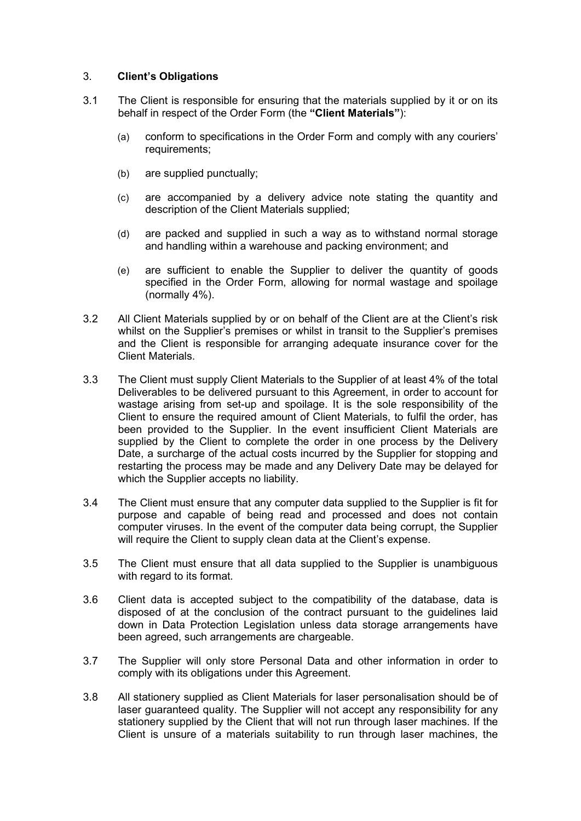## 3. Client's Obligations

- 3.1 The Client is responsible for ensuring that the materials supplied by it or on its behalf in respect of the Order Form (the "Client Materials"):
	- (a) conform to specifications in the Order Form and comply with any couriers' requirements:
	- (b) are supplied punctually;
	- (c) are accompanied by a delivery advice note stating the quantity and description of the Client Materials supplied;
	- (d) are packed and supplied in such a way as to withstand normal storage and handling within a warehouse and packing environment; and
	- (e) are sufficient to enable the Supplier to deliver the quantity of goods specified in the Order Form, allowing for normal wastage and spoilage (normally 4%).
- 3.2 All Client Materials supplied by or on behalf of the Client are at the Client's risk whilst on the Supplier's premises or whilst in transit to the Supplier's premises and the Client is responsible for arranging adequate insurance cover for the Client Materials.
- 3.3 The Client must supply Client Materials to the Supplier of at least 4% of the total Deliverables to be delivered pursuant to this Agreement, in order to account for wastage arising from set-up and spoilage. It is the sole responsibility of the Client to ensure the required amount of Client Materials, to fulfil the order, has been provided to the Supplier. In the event insufficient Client Materials are supplied by the Client to complete the order in one process by the Delivery Date, a surcharge of the actual costs incurred by the Supplier for stopping and restarting the process may be made and any Delivery Date may be delayed for which the Supplier accepts no liability.
- 3.4 The Client must ensure that any computer data supplied to the Supplier is fit for purpose and capable of being read and processed and does not contain computer viruses. In the event of the computer data being corrupt, the Supplier will require the Client to supply clean data at the Client's expense.
- 3.5 The Client must ensure that all data supplied to the Supplier is unambiguous with regard to its format.
- 3.6 Client data is accepted subject to the compatibility of the database, data is disposed of at the conclusion of the contract pursuant to the guidelines laid down in Data Protection Legislation unless data storage arrangements have been agreed, such arrangements are chargeable.
- 3.7 The Supplier will only store Personal Data and other information in order to comply with its obligations under this Agreement.
- 3.8 All stationery supplied as Client Materials for laser personalisation should be of laser guaranteed quality. The Supplier will not accept any responsibility for any stationery supplied by the Client that will not run through laser machines. If the Client is unsure of a materials suitability to run through laser machines, the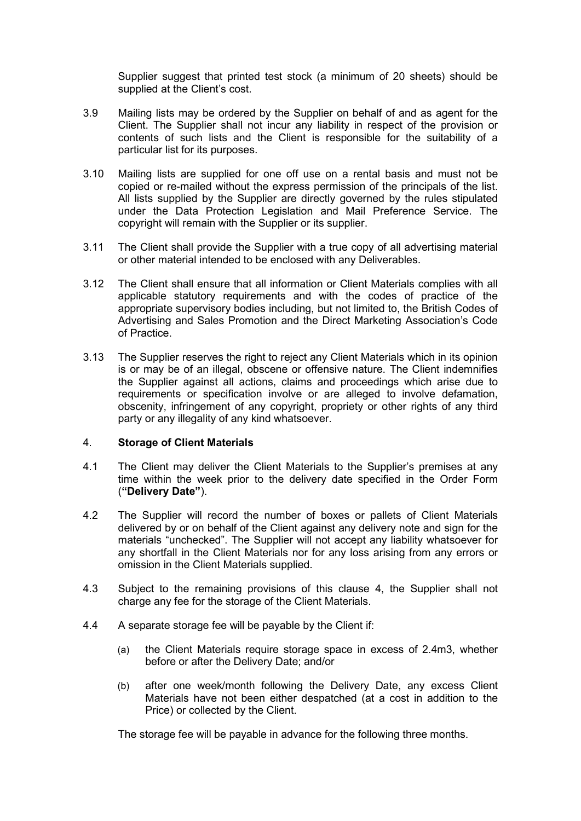Supplier suggest that printed test stock (a minimum of 20 sheets) should be supplied at the Client's cost.

- 3.9 Mailing lists may be ordered by the Supplier on behalf of and as agent for the Client. The Supplier shall not incur any liability in respect of the provision or contents of such lists and the Client is responsible for the suitability of a particular list for its purposes.
- 3.10 Mailing lists are supplied for one off use on a rental basis and must not be copied or re-mailed without the express permission of the principals of the list. All lists supplied by the Supplier are directly governed by the rules stipulated under the Data Protection Legislation and Mail Preference Service. The copyright will remain with the Supplier or its supplier.
- 3.11 The Client shall provide the Supplier with a true copy of all advertising material or other material intended to be enclosed with any Deliverables.
- 3.12 The Client shall ensure that all information or Client Materials complies with all applicable statutory requirements and with the codes of practice of the appropriate supervisory bodies including, but not limited to, the British Codes of Advertising and Sales Promotion and the Direct Marketing Association's Code of Practice.
- 3.13 The Supplier reserves the right to reject any Client Materials which in its opinion is or may be of an illegal, obscene or offensive nature. The Client indemnifies the Supplier against all actions, claims and proceedings which arise due to requirements or specification involve or are alleged to involve defamation, obscenity, infringement of any copyright, propriety or other rights of any third party or any illegality of any kind whatsoever.

## 4. Storage of Client Materials

- 4.1 The Client may deliver the Client Materials to the Supplier's premises at any time within the week prior to the delivery date specified in the Order Form ("Delivery Date").
- 4.2 The Supplier will record the number of boxes or pallets of Client Materials delivered by or on behalf of the Client against any delivery note and sign for the materials "unchecked". The Supplier will not accept any liability whatsoever for any shortfall in the Client Materials nor for any loss arising from any errors or omission in the Client Materials supplied.
- 4.3 Subject to the remaining provisions of this clause 4, the Supplier shall not charge any fee for the storage of the Client Materials.
- 4.4 A separate storage fee will be payable by the Client if:
	- (a) the Client Materials require storage space in excess of 2.4m3, whether before or after the Delivery Date; and/or
	- (b) after one week/month following the Delivery Date, any excess Client Materials have not been either despatched (at a cost in addition to the Price) or collected by the Client.

The storage fee will be payable in advance for the following three months.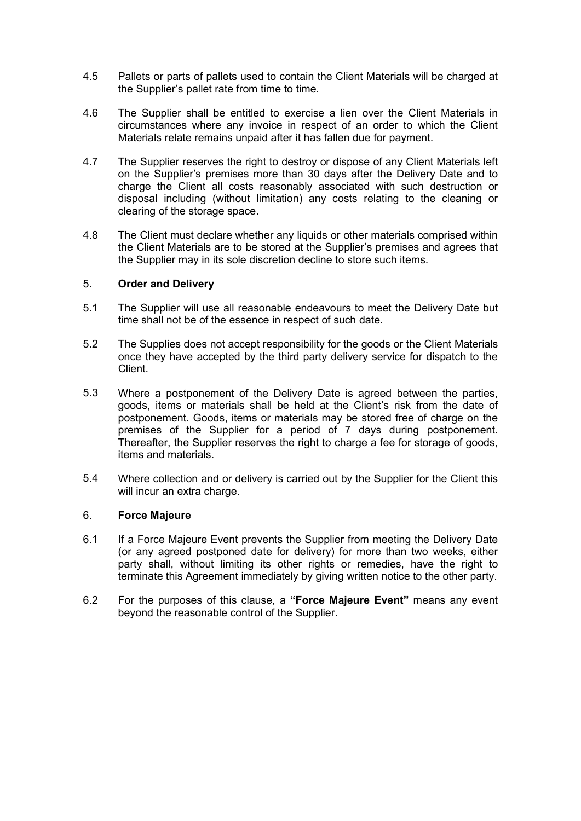- the Supplier's pallet rate from time to time. 4.5 Pallets or parts of pallets used to contain the Client Materials will be charged at
- 4.6 The Supplier shall be entitled to exercise a lien over the Client Materials in circumstances where any invoice in respect of an order to which the Client Materials relate remains unpaid after it has fallen due for payment.
- 4.7 The Supplier reserves the right to destroy or dispose of any Client Materials left on the Supplier's premises more than 30 days after the Delivery Date and to charge the Client all costs reasonably associated with such destruction or clearing of the storage space. disposal including (without limitation) any costs relating to the cleaning or
- 4.8 The Client must declare whether any liquids or other materials comprised within the Client Materials are to be stored at the Supplier's premises and agrees that the Supplier may in its sole discretion decline to store such items.

# 5. Order and Delivery service for dispatch to this control party delivery service for dispatch to the the third party of  $\sim$

- time shall not be of the essence in respect of such date. 5.1 The Supplier will use all reasonable endeavours to meet the Delivery Date but
- 5.2 The Supplies does not accept responsibility for the goods or the Client Materials once they have accepted by the third party delivery service for dispatch to the reflect the actual quantity delivered and shall be amended by the Supplier. The Supplier of Supplier  $\mathcal{L}$ Client.
- Where a postponement of the Delivery Date is agreed between the parties, 5.3 Where a postponement of the Delivery Date is agreed between the parties,<br>goods, items or materials shall be held at the Client's risk from the date of postponement. Goods, items or materials may be stored free of charge on the premises of the Supplier for a period of 7 days during postponement. premises of the Supplier for a period of 7 days during postponement.<br>Thereafter, the Supplier reserves the right to charge a fee for storage of goods, items and materials. 5.3
- 5.4 Where collection and or delivery is carried out by the Supplier for the Client this will incur an extra charge. will incur an extra charge. 5.4

## 6. **Force Majeure Thereafter reserves the Supplier reserves the right to charge a fee for storage a fee for storage of goods, and good storage a fee for storage of goods, and good storage of goods, and good storage of go**

- 6.1 If a Force Majeure Event prevents the Supplier from meeting the Delivery Date (or any agreed postponed date for delivery) for more than two weeks, either (or any agreed postponed date for delivery) for more than two weeks, either<br>party shall, without limiting its other rights or remedies, have the right to terminate this Agreement immediately by giving written notice to the other party.
- 6.2 For the purposes of this clause, a "Force Majeure Event" means any event beyond the reasonable control of the Supplier.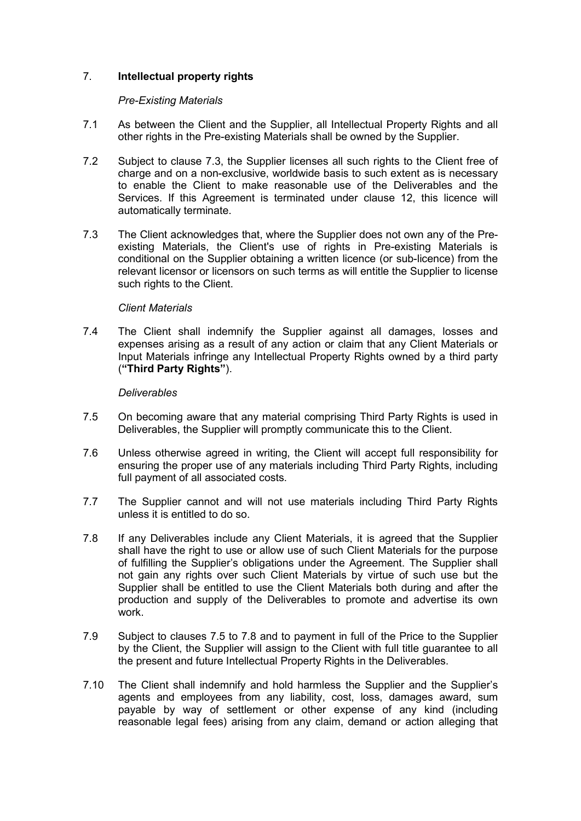# 7. Intellectual property rights

## Pre-Existing Materials

- 7.1 As between the Client and the Supplier, all Intellectual Property Rights and all other rights in the Pre-existing Materials shall be owned by the Supplier.
- 7.2 Subject to clause 7.3, the Supplier licenses all such rights to the Client free of charge and on a non-exclusive, worldwide basis to such extent as is necessary to enable the Client to make reasonable use of the Deliverables and the Services. If this Agreement is terminated under clause 12, this licence will automatically terminate.
- 7.3 The Client acknowledges that, where the Supplier does not own any of the Preexisting Materials, the Client's use of rights in Pre-existing Materials is conditional on the Supplier obtaining a written licence (or sub-licence) from the relevant licensor or licensors on such terms as will entitle the Supplier to license such rights to the Client.

## Client Materials

7.4 The Client shall indemnify the Supplier against all damages, losses and expenses arising as a result of any action or claim that any Client Materials or Input Materials infringe any Intellectual Property Rights owned by a third party ("Third Party Rights").

## **Deliverables**

- 7.5 On becoming aware that any material comprising Third Party Rights is used in Deliverables, the Supplier will promptly communicate this to the Client.
- 7.6 Unless otherwise agreed in writing, the Client will accept full responsibility for ensuring the proper use of any materials including Third Party Rights, including full payment of all associated costs.
- 7.7 The Supplier cannot and will not use materials including Third Party Rights unless it is entitled to do so.
- 7.8 If any Deliverables include any Client Materials, it is agreed that the Supplier shall have the right to use or allow use of such Client Materials for the purpose of fulfilling the Supplier's obligations under the Agreement. The Supplier shall not gain any rights over such Client Materials by virtue of such use but the Supplier shall be entitled to use the Client Materials both during and after the production and supply of the Deliverables to promote and advertise its own work.
- 7.9 Subject to clauses 7.5 to 7.8 and to payment in full of the Price to the Supplier by the Client, the Supplier will assign to the Client with full title guarantee to all the present and future Intellectual Property Rights in the Deliverables.
- 7.10 The Client shall indemnify and hold harmless the Supplier and the Supplier's agents and employees from any liability, cost, loss, damages award, sum payable by way of settlement or other expense of any kind (including reasonable legal fees) arising from any claim, demand or action alleging that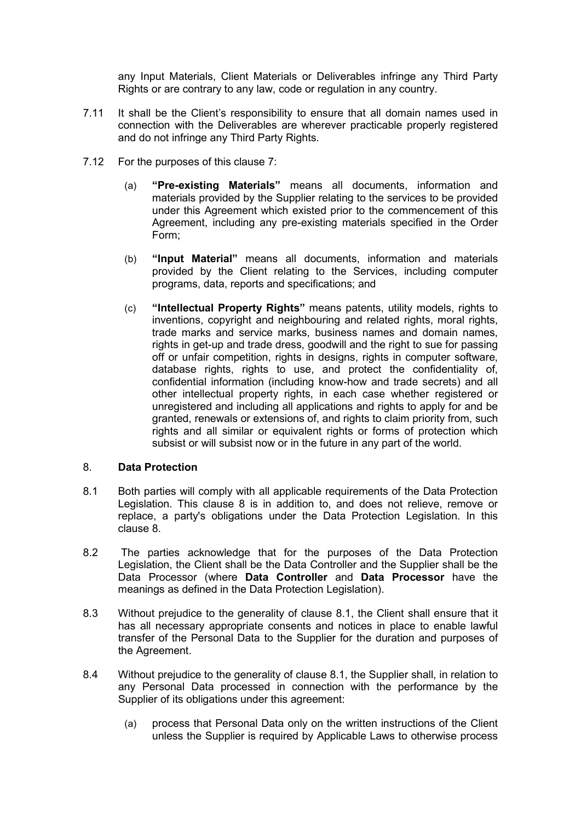any Input Materials, Client Materials or Deliverables infringe any Third Party Rights or are contrary to any law, code or regulation in any country.

- 7.11 It shall be the Client's responsibility to ensure that all domain names used in connection with the Deliverables are wherever practicable properly registered and do not infringe any Third Party Rights.
- 7.12 For the purposes of this clause 7:
	- (a) "Pre-existing Materials" means all documents, information and materials provided by the Supplier relating to the services to be provided under this Agreement which existed prior to the commencement of this Agreement, including any pre-existing materials specified in the Order Form;
	- (b) "Input Material" means all documents, information and materials provided by the Client relating to the Services, including computer programs, data, reports and specifications; and
	- (c) "Intellectual Property Rights" means patents, utility models, rights to inventions, copyright and neighbouring and related rights, moral rights. trade marks and service marks, business names and domain names, rights in get-up and trade dress, goodwill and the right to sue for passing off or unfair competition, rights in designs, rights in computer software, database rights, rights to use, and protect the confidentiality of, confidential information (including know-how and trade secrets) and all other intellectual property rights, in each case whether registered or unregistered and including all applications and rights to apply for and be granted, renewals or extensions of, and rights to claim priority from, such rights and all similar or equivalent rights or forms of protection which subsist or will subsist now or in the future in any part of the world.

## 8. Data Protection

- 8.1 Both parties will comply with all applicable requirements of the Data Protection Legislation. This clause 8 is in addition to, and does not relieve, remove or replace, a party's obligations under the Data Protection Legislation. In this clause 8.
- 8.2 The parties acknowledge that for the purposes of the Data Protection Legislation, the Client shall be the Data Controller and the Supplier shall be the Data Processor (where Data Controller and Data Processor have the meanings as defined in the Data Protection Legislation).
- 8.3 Without prejudice to the generality of clause 8.1, the Client shall ensure that it has all necessary appropriate consents and notices in place to enable lawful transfer of the Personal Data to the Supplier for the duration and purposes of the Agreement.
- 8.4 Without prejudice to the generality of clause 8.1, the Supplier shall, in relation to any Personal Data processed in connection with the performance by the Supplier of its obligations under this agreement:
	- (a) process that Personal Data only on the written instructions of the Client unless the Supplier is required by Applicable Laws to otherwise process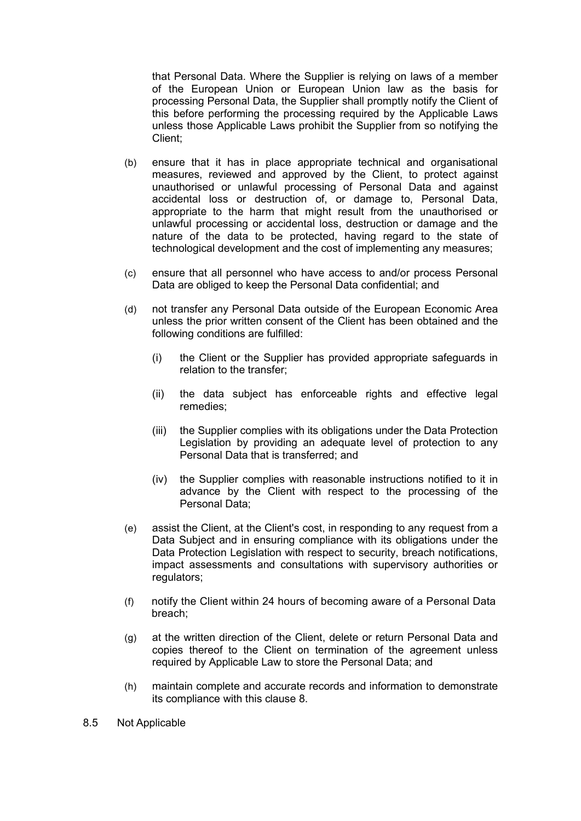that Personal Data. Where the Supplier is relying on laws of a member of the European Union or European Union law as the basis for processing Personal Data, the Supplier shall promptly notify the Client of this before performing the processing required by the Applicable Laws unless those Applicable Laws prohibit the Supplier from so notifying the Client;

- (b) ensure that it has in place appropriate technical and organisational measures, reviewed and approved by the Client, to protect against unauthorised or unlawful processing of Personal Data and against accidental loss or destruction of, or damage to, Personal Data, appropriate to the harm that might result from the unauthorised or unlawful processing or accidental loss, destruction or damage and the nature of the data to be protected, having regard to the state of technological development and the cost of implementing any measures;
- (c) ensure that all personnel who have access to and/or process Personal Data are obliged to keep the Personal Data confidential; and
- (d) not transfer any Personal Data outside of the European Economic Area unless the prior written consent of the Client has been obtained and the following conditions are fulfilled:
	- (i) the Client or the Supplier has provided appropriate safeguards in relation to the transfer;
	- (ii) the data subject has enforceable rights and effective legal remedies;
	- (iii) the Supplier complies with its obligations under the Data Protection Legislation by providing an adequate level of protection to any Personal Data that is transferred; and
	- (iv) the Supplier complies with reasonable instructions notified to it in advance by the Client with respect to the processing of the Personal Data;
- (e) assist the Client, at the Client's cost, in responding to any request from a Data Subject and in ensuring compliance with its obligations under the Data Protection Legislation with respect to security, breach notifications, impact assessments and consultations with supervisory authorities or regulators;
- (f) notify the Client within 24 hours of becoming aware of a Personal Data breach;
- (g) at the written direction of the Client, delete or return Personal Data and copies thereof to the Client on termination of the agreement unless required by Applicable Law to store the Personal Data; and
- (h) maintain complete and accurate records and information to demonstrate its compliance with this clause 8.
- 8.5 Not Applicable and Supplier approach a third-party processor of the Supplier approach of the Supplier approach of the Supplier approach of the Supplier approach of the Supplier approach of the Supplier approach of the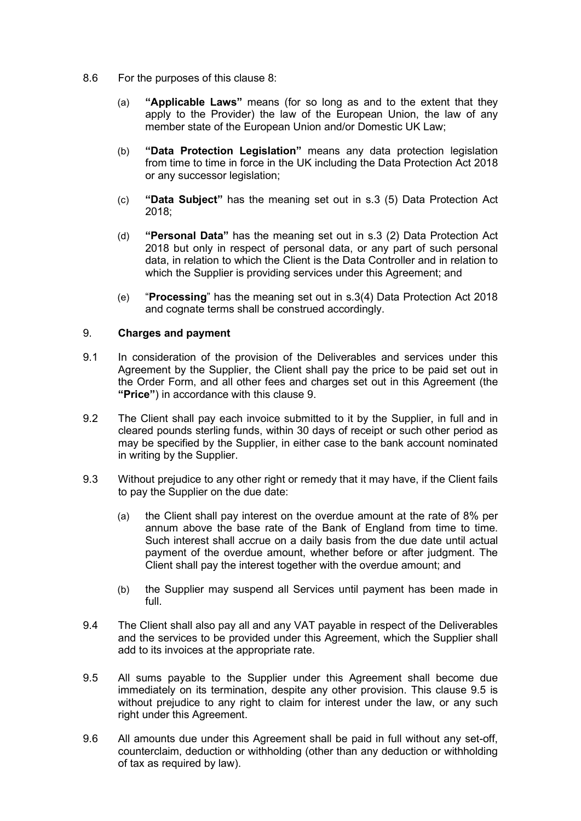- 8.6 For the purposes of this clause 8:
	- (a) "Applicable Laws" means (for so long as and to the extent that they apply to the Provider) the law of the European Union, the law of any member state of the European Union and/or Domestic UK Law;
	- (b) "Data Protection Legislation" means any data protection legislation from time to time in force in the UK including the Data Protection Act 2018 or any successor legislation;
	- (c) "Data Subject" has the meaning set out in s.3 (5) Data Protection Act 2018;
	- (d) "Personal Data" has the meaning set out in s.3 (2) Data Protection Act 2018 but only in respect of personal data, or any part of such personal data, in relation to which the Client is the Data Controller and in relation to which the Supplier is providing services under this Agreement; and
	- (e) "Processing" has the meaning set out in s.3(4) Data Protection Act 2018 and cognate terms shall be construed accordingly.

## 9. Charges and payment

- 9.1 In consideration of the provision of the Deliverables and services under this Agreement by the Supplier, the Client shall pay the price to be paid set out in the Order Form, and all other fees and charges set out in this Agreement (the "Price") in accordance with this clause 9.
- 9.2 The Client shall pay each invoice submitted to it by the Supplier, in full and in cleared pounds sterling funds, within 30 days of receipt or such other period as may be specified by the Supplier, in either case to the bank account nominated in writing by the Supplier.
- 9.3 Without prejudice to any other right or remedy that it may have, if the Client fails to pay the Supplier on the due date:
	- (a) the Client shall pay interest on the overdue amount at the rate of 8% per annum above the base rate of the Bank of England from time to time. Such interest shall accrue on a daily basis from the due date until actual payment of the overdue amount, whether before or after judgment. The Client shall pay the interest together with the overdue amount; and
	- (b) the Supplier may suspend all Services until payment has been made in full.
- 9.4 The Client shall also pay all and any VAT payable in respect of the Deliverables and the services to be provided under this Agreement, which the Supplier shall add to its invoices at the appropriate rate.
- 9.5 All sums payable to the Supplier under this Agreement shall become due immediately on its termination, despite any other provision. This clause 9.5 is without prejudice to any right to claim for interest under the law, or any such right under this Agreement.
- 9.6 All amounts due under this Agreement shall be paid in full without any set-off, counterclaim, deduction or withholding (other than any deduction or withholding of tax as required by law).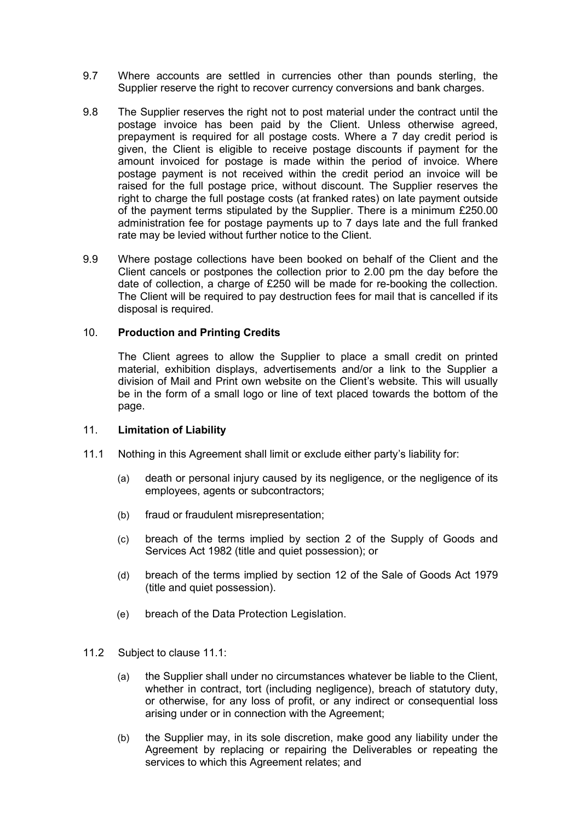- 9.7 Where accounts are settled in currencies other than pounds sterling, the where accounts are settled in currencies other than pounds sterling, the Supplier reserve the right to recover currency conversions and bank charges. oupplier reserve the right t
- 9.8 The Supplier reserves the right not to post material under the contract until the 9.6 The Supplier reserves the right not to post material under the contract until the postage invoice has been paid by the Client. Unless otherwise agreed, postage invoice has been paid by the Chent. Onless otherwise agreed,<br>prepayment is required for all postage costs. Where a 7 day credit period is given, the Client is eligible to receive postage discounts if payment for the ground intervals of the contract unit amount invoiced for postage is made within the period of invoice. Where  $\frac{1}{2}$ postage payment is not received within the credit period an invoice will be raised for the full postage price, without discount. The Supplier reserves the right to charge the full postage costs (at franked rates) on late payment outside right to charge the full postage costs (at franked rates) on late payment outside of the payment terms stipulated by the Supplier. There is a minimum £250.00 administration fee for postage payments up to 7 days late and the full franked rate may be levied without further notice to the Client. postage payment is not received within the credit period an invoice will be  $\mu$  and  $\mu$  is the Client in the Client is eligible to receive position  $\mu$  and  $\mu$  and  $\mu$  are controlled to the component of the component of the component of the component of the component of the component of the of the payment terms supulated by the supplier. There is a minimum  $zzov.v$ aurilised for the full postage payments up to r uays face and the full flamed.<br>with more be leaded without furthermostics to the Olient.
- 9.9 Where postage collections have been booked on behalf of the Client and the of the payment terms stipulated by the Supplier. There is a minimum £250.00 where postage collections have been booked on behan or the client and the Client cancels or postpones the collection prior to 2.00 pm the day before the Cherit cancels of posipones the collection phor to 2.00 pm the day before the date of collection, a charge of £250 will be made for re-booking the collection. The Client will be required to pay destruction fees for mail that is cancelled if its manufactured on behalf of the Client and the Client and the Client and the Client and the Client and the Client and the Client and the C disposal is required. The collection prior to 2.000 pm the collection prior to 2.000 pm the day before the day

#### 10. Production and Printing Credits and the collection of  $250$ The Client will be required to pay desired that its cancelled in the mail that is cancelled if its cancelled i

The Client agrees to allow the Supplier to place a small credit on printed material, exhibition displays, advertisements and/or a link to the Supplier a material, exhibition displays, advertisements and/or a link to the Supplier a<br>division of Mail and Print own website on the Client's website. This will usually be in the form of a small logo or line of text placed towards the bottom of the<br>" page.  $p$ ays, advertisements and or a link to the Supplier and/or a link to the Supplier and/or a link to the Supplier and  $p$ 

#### 11. Limitation of Liability and Print own website on the Client's website on the Client's website. This will usually be in the form of a small logo or line of the both or line of the bottom of the bottom of the bottom of the bottom of the bottom of the bottom of the bottom of the bottom of the bottom of the bottom of the bottom of the bo

- 11.1 Nothing in this Agreement shall limit or exclude either party's liability for:
- (a) death or personal injury caused by its negligence, or the negligence of its employees, agents or subcontractors;
	- (b) fraud or fraudulent misrepresentation;
	- (c) breach of the terms implied by section 2 of the Supply of Goods and Services Act 1982 (title and quiet possession); or
	- (d) breach of the terms implied by section 12 of the Sale of Goods Act 1979  $\mu$ (title and quiet possession).
- (e) breach of the Data Protection Legislation.
- 11.2 Subject to clause 11.1:
	- (a) the Supplier shall under no circumstances whatever be liable to the Client, whether in contract, tort (including negligence), breach of statutory duty, or otherwise, for any loss of profit, or any indirect or consequential loss arising under or in connection with the Agreement;
	- (b) the Supplier may, in its sole discretion, make good any liability under the Agreement by replacing or repairing the Deliverables or repeating the services to which this Agreement relates; and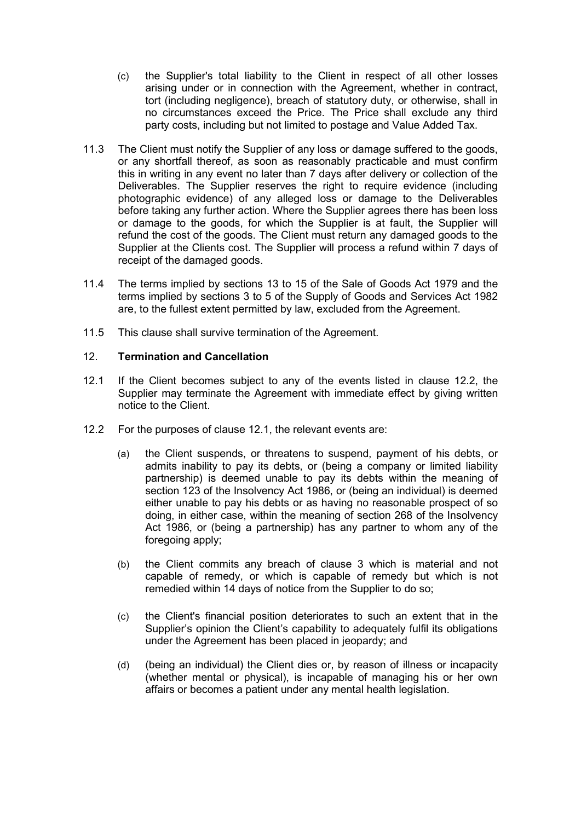- (c) the Supplier's total liability to the Client in respect of all other losses arising under or in connection with the Agreement, whether in contract, tort (including negligence), breach of statutory duty, or otherwise, shall in no circumstances exceed the Price. The Price shall exclude any third party costs, including but not limited to postage and Value Added Tax.
- 11.3 The Client must notify the Supplier of any loss or damage suffered to the goods, or any shortfall thereof, as soon as reasonably practicable and must confirm this in writing in any event no later than 7 days after delivery or collection of the Deliverables. The Supplier reserves the right to require evidence (including photographic evidence) of any alleged loss or damage to the Deliverables before taking any further action. Where the Supplier agrees there has been loss or damage to the goods, for which the Supplier is at fault, the Supplier will refund the cost of the goods. The Client must return any damaged goods to the Supplier at the Clients cost. The Supplier will process a refund within 7 days of receipt of the damaged goods.
- 11.4 The terms implied by sections 13 to 15 of the Sale of Goods Act 1979 and the terms implied by sections 3 to 5 of the Supply of Goods and Services Act 1982 are, to the fullest extent permitted by law, excluded from the Agreement.
- 11.5 This clause shall survive termination of the Agreement.

# 12. Termination and Cancellation

- 12.1 If the Client becomes subject to any of the events listed in clause 12.2, the Supplier may terminate the Agreement with immediate effect by giving written notice to the Client.
- 12.2 For the purposes of clause 12.1, the relevant events are:
	- (a) the Client suspends, or threatens to suspend, payment of his debts, or admits inability to pay its debts, or (being a company or limited liability partnership) is deemed unable to pay its debts within the meaning of section 123 of the Insolvency Act 1986, or (being an individual) is deemed either unable to pay his debts or as having no reasonable prospect of so doing, in either case, within the meaning of section 268 of the Insolvency Act 1986, or (being a partnership) has any partner to whom any of the foregoing apply;
	- (b) the Client commits any breach of clause 3 which is material and not capable of remedy, or which is capable of remedy but which is not remedied within 14 days of notice from the Supplier to do so;
	- (c) the Client's financial position deteriorates to such an extent that in the Supplier's opinion the Client's capability to adequately fulfil its obligations under the Agreement has been placed in jeopardy; and
	- (d) (being an individual) the Client dies or, by reason of illness or incapacity (whether mental or physical), is incapable of managing his or her own affairs or becomes a patient under any mental health legislation.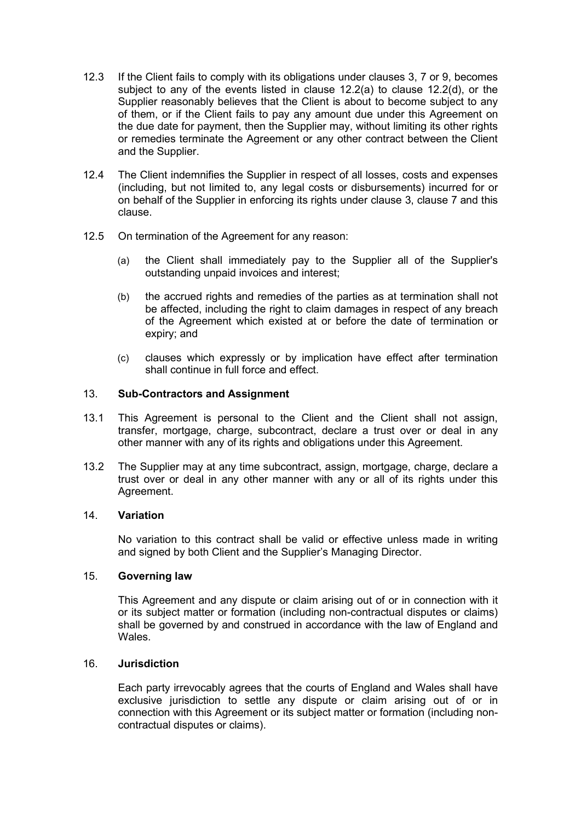- 12.3 If the Client fails to comply with its obligations under clauses 3, 7 or 9, becomes subject to any of the events listed in clause 12.2(a) to clause 12.2(d), or the Supplier reasonably believes that the Client is about to become subject to any of them, or if the Client fails to pay any amount due under this Agreement on the due date for payment, then the Supplier may, without limiting its other rights or remedies terminate the Agreement or any other contract between the Client and the Supplier.
- 12.4 The Client indemnifies the Supplier in respect of all losses, costs and expenses (including, but not limited to, any legal costs or disbursements) incurred for or on behalf of the Supplier in enforcing its rights under clause 3, clause 7 and this clause.
- 12.5 On termination of the Agreement for any reason:
	- (a) the Client shall immediately pay to the Supplier all of the Supplier's outstanding unpaid invoices and interest;
	- (b) the accrued rights and remedies of the parties as at termination shall not be affected, including the right to claim damages in respect of any breach of the Agreement which existed at or before the date of termination or expiry; and
	- (c) clauses which expressly or by implication have effect after termination shall continue in full force and effect.

## 13. Sub-Contractors and Assignment

- 13.1 This Agreement is personal to the Client and the Client shall not assign, transfer, mortgage, charge, subcontract, declare a trust over or deal in any other manner with any of its rights and obligations under this Agreement.
- 13.2 The Supplier may at any time subcontract, assign, mortgage, charge, declare a trust over or deal in any other manner with any or all of its rights under this Agreement.

#### 14. Variation

No variation to this contract shall be valid or effective unless made in writing and signed by both Client and the Supplier's Managing Director.

#### 15. Governing law

This Agreement and any dispute or claim arising out of or in connection with it or its subject matter or formation (including non-contractual disputes or claims) shall be governed by and construed in accordance with the law of England and **Wales** 

#### 16. Jurisdiction

Each party irrevocably agrees that the courts of England and Wales shall have exclusive jurisdiction to settle any dispute or claim arising out of or in connection with this Agreement or its subject matter or formation (including noncontractual disputes or claims).